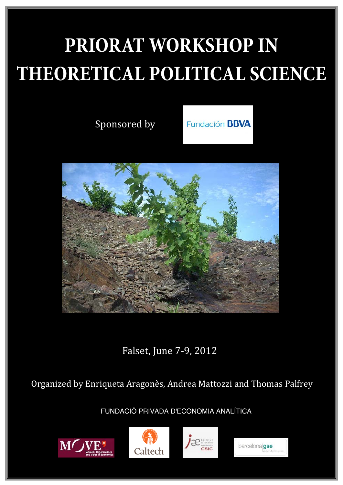# **PRIORAT WORKSHOP IN THEORETICAL POLITICAL SCIENCE**

Sponsored by

**Fundación BBVA** 



Falset, June 7-9, 2012

Organized by Enriqueta Aragonès, Andrea Mattozzi and Thomas Palfrey

FUNDACIÓ PRIVADA D'ECONOMIA ANALÍTICA







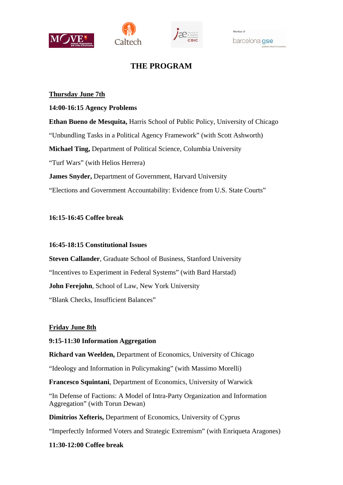





# **THE PROGRAM**

#### **Thursday June 7th**

#### **14:00-16:15 Agency Problems**

**Ethan Bueno de Mesquita,** Harris School of Public Policy, University of Chicago "Unbundling Tasks in a Political Agency Framework" (with Scott Ashworth) **Michael Ting,** Department of Political Science, Columbia University "Turf Wars" (with Helios Herrera) **James Snyder,** Department of Government, Harvard University "Elections and Government Accountability: Evidence from U.S. State Courts"

#### **16:15-16:45 Coffee break**

#### **16:45-18:15 Constitutional Issues**

**Steven Callander**, Graduate School of Business, Stanford University "Incentives to Experiment in Federal Systems" (with Bard Harstad) **John Ferejohn**, School of Law, New York University "Blank Checks, Insufficient Balances"

## **Friday June 8th**

#### **9:15-11:30 Information Aggregation**

**Richard van Weelden,** Department of Economics, University of Chicago

"Ideology and Information in Policymaking" (with Massimo Morelli)

**Francesco Squintani**, Department of Economics, University of Warwick

"In Defense of Factions: A Model of Intra-Party Organization and Information Aggregation" (with Torun Dewan)

**Dimitrios Xefteris,** Department of Economics, University of Cyprus

"Imperfectly Informed Voters and Strategic Extremism" (with Enriqueta Aragones)

## **11:30-12:00 Coffee break**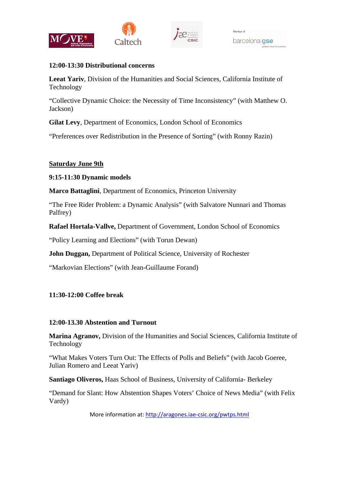



#### **12:00-13:30 Distributional concerns**

**Leeat Yariv**, Division of the Humanities and Social Sciences, California Institute of Technology

"Collective Dynamic Choice: the Necessity of Time Inconsistency" (with Matthew O. Jackson)

**Gilat Levy**, Department of Economics, London School of Economics

"Preferences over Redistribution in the Presence of Sorting" (with Ronny Razin)

# **Saturday June 9th**

## **9:15-11:30 Dynamic models**

**Marco Battaglini**, Department of Economics, Princeton University

"The Free Rider Problem: a Dynamic Analysis" (with Salvatore Nunnari and Thomas Palfrey)

**Rafael Hortala-Vallve,** Department of Government, London School of Economics

"Policy Learning and Elections" (with Torun Dewan)

**John Duggan,** Department of Political Science, University of Rochester

"Markovian Elections" (with Jean-Guillaume Forand)

## **11:30-12:00 Coffee break**

## **12:00-13.30 Abstention and Turnout**

**Marina Agranov,** Division of the Humanities and Social Sciences, California Institute of Technology

"What Makes Voters Turn Out: The Effects of Polls and Beliefs" (with Jacob Goeree, Julian Romero and Leeat Yariv)

**Santiago Oliveros,** Haas School of Business, University of California- Berkeley

"Demand for Slant: How Abstention Shapes Voters' Choice of News Media" (with Felix Vardy)

More information at: http://aragones.iae‐csic.org/pwtps.html